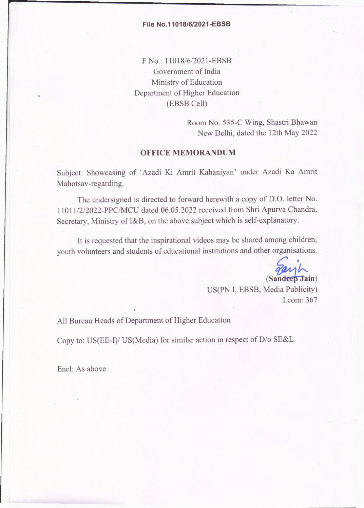## **File No.11018/6/2021-EBSB**

F No.: 11018/6/2021-EBSB Government of India Ministry of Education Department of Higher Education (EBSB Cell)

> Room No: 535-C Wing, Shastri Bhawan New Delhi, dated the 12th May 2022

## **OFFICE MEMORANDUM**

Subject: Showcasing of 'Azadi Ki Amrit Kahaniyan' under Azadi Ka Amrit Mahotsav-regarding.

The undersigned is directed to forward herewith a copy of D.O. letter No. 11011/2/2022-PPC/MCU dated 06.05.2022 received from Shri Apurva Chandra, Secretary, Ministry of I&B, on the above subject which is self-explanatory.

It is requested that the inspirational videos may be shared among children, youth volunteers and students of educational institutions and other organisations.

(Sandeep Jain)

US(PN.I, EBSB, Media Publicity) I.com: 367

All Bureau Heads of Department of Higher Education

Copy to: US(EE-I)/ US(Media) for similar action in respect of D/o SE&L.

Enel: As above